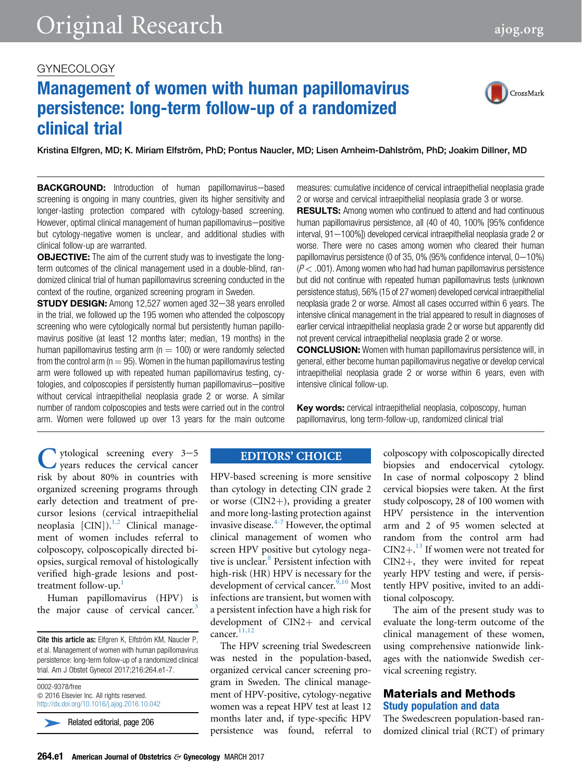# GYNECOLOGY

# Management of women with human papillomavirus persistence: long-term follow-up of a randomized clinical trial

Kristina Elfgren, MD; K. Miriam Elfström, PhD; Pontus Naucler, MD; Lisen Arnheim-Dahlström, PhD; Joakim Dillner, MD

**BACKGROUND:** Introduction of human papillomavirus-based screening is ongoing in many countries, given its higher sensitivity and longer-lasting protection compared with cytology-based screening. However, optimal clinical management of human papillomavirus-positive but cytology-negative women is unclear, and additional studies with clinical follow-up are warranted.

**OBJECTIVE:** The aim of the current study was to investigate the longterm outcomes of the clinical management used in a double-blind, randomized clinical trial of human papillomavirus screening conducted in the context of the routine, organized screening program in Sweden.

**STUDY DESIGN:** Among 12,527 women aged 32-38 years enrolled in the trial, we followed up the 195 women who attended the colposcopy screening who were cytologically normal but persistently human papillomavirus positive (at least 12 months later; median, 19 months) in the human papillomavirus testing arm ( $n = 100$ ) or were randomly selected from the control arm ( $n = 95$ ). Women in the human papillomavirus testing arm were followed up with repeated human papillomavirus testing, cytologies, and colposcopies if persistently human papillomavirus-positive without cervical intraepithelial neoplasia grade 2 or worse. A similar number of random colposcopies and tests were carried out in the control arm. Women were followed up over 13 years for the main outcome measures: cumulative incidence of cervical intraepithelial neoplasia grade 2 or worse and cervical intraepithelial neoplasia grade 3 or worse.

**RESULTS:** Among women who continued to attend and had continuous human papillomavirus persistence, all (40 of 40, 100% [95% confidence interval, 91-100%]) developed cervical intraepithelial neoplasia grade 2 or worse. There were no cases among women who cleared their human papillomavirus persistence (0 of 35, 0% (95% confidence interval,  $0-10\%$ )  $(P<.001)$ . Among women who had had human papillomavirus persistence but did not continue with repeated human papillomavirus tests (unknown persistence status), 56% (15 of 27 women) developed cervical intraepithelial neoplasia grade 2 or worse. Almost all cases occurred within 6 years. The intensive clinical management in the trial appeared to result in diagnoses of earlier cervical intraepithelial neoplasia grade 2 or worse but apparently did not prevent cervical intraepithelial neoplasia grade 2 or worse.

CONCLUSION: Women with human papillomavirus persistence will, in general, either become human papillomavirus negative or develop cervical intraepithelial neoplasia grade 2 or worse within 6 years, even with intensive clinical follow-up.

Key words: cervical intraepithelial neoplasia, colposcopy, human papillomavirus, long term-follow-up, randomized clinical trial

C ytological screening every 3-5<br>years reduces the cervical cancer<br>risk by about 80% in countries with<br>organized screening programs through years reduces the cervical cancer risk by about 80% in countries with organized screening programs through early detection and treatment of precursor lesions (cervical intraepithelial neoplasia [CIN]).<sup>[1,2](#page-5-0)</sup> Clinical management of women includes referral to colposcopy, colposcopically directed biopsies, surgical removal of histologically verified high-grade lesions and post-treatment follow-up.<sup>[1](#page-5-0)</sup>

Human papillomavirus (HPV) is the major cause of cervical cancer.<sup>[3](#page-5-0)</sup>

0002-9378/free  $© 2016 Elsevier Inc. All rights reserved.$ <http://dx.doi.org/10.1016/j.ajog.2016.10.042>

Related editorial, page 206

# **EDITORS' CHOICE**

HPV-based screening is more sensitive than cytology in detecting CIN grade 2 or worse  $(CIN2+)$ , providing a greater and more long-lasting protection against invasive disease. $4-7$  However, the optimal clinical management of women who screen HPV positive but cytology nega-tive is unclear.<sup>[8](#page-5-0)</sup> Persistent infection with high-risk (HR) HPV is necessary for the development of cervical cancer.<sup>[9,10](#page-5-0)</sup> Most infections are transient, but women with a persistent infection have a high risk for development of CIN2+ and cervical cancer.<sup>[11,12](#page-5-0)</sup>

The HPV screening trial Swedescreen was nested in the population-based, organized cervical cancer screening program in Sweden. The clinical management of HPV-positive, cytology-negative women was a repeat HPV test at least 12 months later and, if type-specific HPV persistence was found, referral to

colposcopy with colposcopically directed biopsies and endocervical cytology. In case of normal colposcopy 2 blind cervical biopsies were taken. At the first study colposcopy, 28 of 100 women with HPV persistence in the intervention arm and 2 of 95 women selected at random from the control arm had  $CIN2+$ <sup>[13](#page-5-0)</sup> If women were not treated for CIN2+, they were invited for repeat yearly HPV testing and were, if persistently HPV positive, invited to an additional colposcopy.

The aim of the present study was to evaluate the long-term outcome of the clinical management of these women, using comprehensive nationwide linkages with the nationwide Swedish cervical screening registry.

# Materials and Methods Study population and data

The Swedescreen population-based randomized clinical trial (RCT) of primary



Cite this article as: Elfgren K, Elfström KM, Naucler P, et al. Management of women with human papillomavirus persistence: long-term follow-up of a randomized clinical trial. Am J Obstet Gynecol 2017;216:264.e1-7.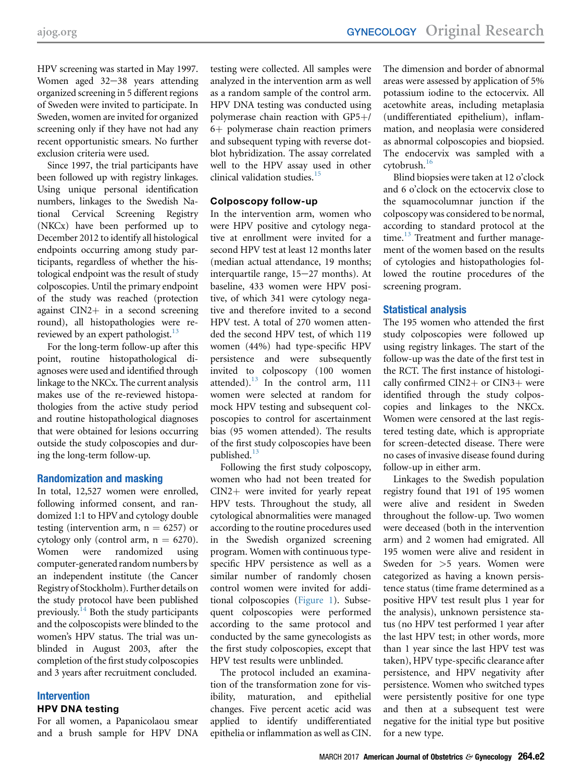HPV screening was started in May 1997. Women aged  $32-38$  years attending organized screening in 5 different regions of Sweden were invited to participate. In Sweden, women are invited for organized screening only if they have not had any recent opportunistic smears. No further exclusion criteria were used.

Since 1997, the trial participants have been followed up with registry linkages. Using unique personal identification numbers, linkages to the Swedish National Cervical Screening Registry (NKCx) have been performed up to December 2012 to identify all histological endpoints occurring among study participants, regardless of whether the histological endpoint was the result of study colposcopies. Until the primary endpoint of the study was reached (protection against  $CIN2$ <sup>+</sup> in a second screening round), all histopathologies were rereviewed by an expert pathologist.<sup>13</sup>

For the long-term follow-up after this point, routine histopathological diagnoses were used and identified through linkage to the NKCx. The current analysis makes use of the re-reviewed histopathologies from the active study period and routine histopathological diagnoses that were obtained for lesions occurring outside the study colposcopies and during the long-term follow-up.

## Randomization and masking

In total, 12,527 women were enrolled, following informed consent, and randomized 1:1 to HPV and cytology double testing (intervention arm,  $n = 6257$ ) or cytology only (control arm,  $n = 6270$ ).<br>Women were randomized using randomized computer-generated random numbers by an independent institute (the Cancer Registry of Stockholm). Further details on the study protocol have been published previously.<sup>[14](#page-5-0)</sup> Both the study participants and the colposcopists were blinded to the women's HPV status. The trial was unblinded in August 2003, after the completion of the first study colposcopies and 3 years after recruitment concluded.

# Intervention HPV DNA testing

For all women, a Papanicolaou smear and a brush sample for HPV DNA testing were collected. All samples were analyzed in the intervention arm as well as a random sample of the control arm. HPV DNA testing was conducted using polymerase chain reaction with  $GP5+/-$ 6+ polymerase chain reaction primers and subsequent typing with reverse dotblot hybridization. The assay correlated well to the HPV assay used in other clinical validation studies.[15](#page-5-0)

# Colposcopy follow-up

In the intervention arm, women who were HPV positive and cytology negative at enrollment were invited for a second HPV test at least 12 months later (median actual attendance, 19 months; interquartile range,  $15-27$  months). At baseline, 433 women were HPV positive, of which 341 were cytology negative and therefore invited to a second HPV test. A total of 270 women attended the second HPV test, of which 119 women (44%) had type-specific HPV persistence and were subsequently invited to colposcopy (100 women attended). $13$  In the control arm, 111 women were selected at random for mock HPV testing and subsequent colposcopies to control for ascertainment bias (95 women attended). The results of the first study colposcopies have been published.<sup>[13](#page-5-0)</sup>

Following the first study colposcopy, women who had not been treated for  $CIN2+$  were invited for yearly repeat HPV tests. Throughout the study, all cytological abnormalities were managed according to the routine procedures used in the Swedish organized screening program. Women with continuous typespecific HPV persistence as well as a similar number of randomly chosen control women were invited for additional colposcopies [\(Figure 1](#page-2-0)). Subsequent colposcopies were performed according to the same protocol and conducted by the same gynecologists as the first study colposcopies, except that HPV test results were unblinded.

The protocol included an examination of the transformation zone for visibility, maturation, and epithelial changes. Five percent acetic acid was applied to identify undifferentiated epithelia or inflammation as well as CIN.

The dimension and border of abnormal areas were assessed by application of 5% potassium iodine to the ectocervix. All acetowhite areas, including metaplasia (undifferentiated epithelium), inflammation, and neoplasia were considered as abnormal colposcopies and biopsied. The endocervix was sampled with a  $cv$ tobrush. $16$ 

Blind biopsies were taken at 12 o'clock and 6 o'clock on the ectocervix close to the squamocolumnar junction if the colposcopy was considered to be normal, according to standard protocol at the time.<sup>[13](#page-5-0)</sup> Treatment and further management of the women based on the results of cytologies and histopathologies followed the routine procedures of the screening program.

# Statistical analysis

The 195 women who attended the first study colposcopies were followed up using registry linkages. The start of the follow-up was the date of the first test in the RCT. The first instance of histologically confirmed  $CIN2+$  or  $CIN3+$  were identified through the study colposcopies and linkages to the NKCx. Women were censored at the last registered testing date, which is appropriate for screen-detected disease. There were no cases of invasive disease found during follow-up in either arm.

Linkages to the Swedish population registry found that 191 of 195 women were alive and resident in Sweden throughout the follow-up. Two women were deceased (both in the intervention arm) and 2 women had emigrated. All 195 women were alive and resident in Sweden for >5 years. Women were categorized as having a known persistence status (time frame determined as a positive HPV test result plus 1 year for the analysis), unknown persistence status (no HPV test performed 1 year after the last HPV test; in other words, more than 1 year since the last HPV test was taken), HPV type-specific clearance after persistence, and HPV negativity after persistence. Women who switched types were persistently positive for one type and then at a subsequent test were negative for the initial type but positive for a new type.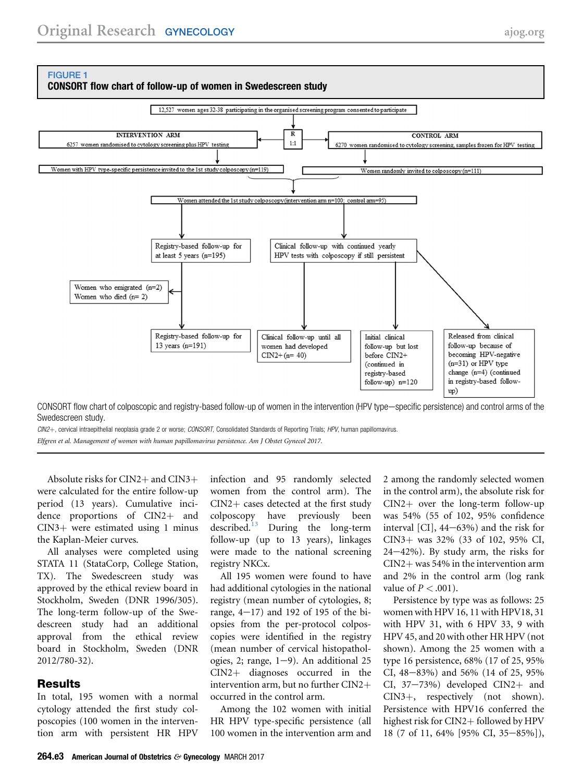<span id="page-2-0"></span>

CONSORT flow chart of colposcopic and registry-based follow-up of women in the intervention (HPV type—specific persistence) and control arms of the Swedescreen study.

CIN2+, cervical intraepithelial neoplasia grade 2 or worse; CONSORT, Consolidated Standards of Reporting Trials; HPV, human papillomavirus.

Elfgren et al. Management of women with human papillomavirus persistence. Am J Obstet Gynecol 2017.

Absolute risks for  $CIN2+$  and  $CIN3+$ were calculated for the entire follow-up period (13 years). Cumulative incidence proportions of  $CIN2+$  and  $CIN3+$  were estimated using 1 minus the Kaplan-Meier curves.

All analyses were completed using STATA 11 (StataCorp, College Station, TX). The Swedescreen study was approved by the ethical review board in Stockholm, Sweden (DNR 1996/305). The long-term follow-up of the Swedescreen study had an additional approval from the ethical review board in Stockholm, Sweden (DNR 2012/780-32).

## **Results**

In total, 195 women with a normal cytology attended the first study colposcopies (100 women in the intervention arm with persistent HR HPV infection and 95 randomly selected women from the control arm). The  $CIN2 + \text{cases detected at the first study}$ <br>colposcopy have previously been colposcopy have previously been<br>described.<sup>13</sup> During the long-term During the long-term follow-up (up to 13 years), linkages were made to the national screening registry NKCx.

All 195 women were found to have had additional cytologies in the national registry (mean number of cytologies, 8; range,  $4-17$ ) and 192 of 195 of the biopsies from the per-protocol colposcopies were identified in the registry (mean number of cervical histopathologies, 2; range,  $1-9$ ). An additional 25  $CIN2$  diagnoses occurred in the intervention arm, but no further  $CIN2+$ occurred in the control arm.

Among the 102 women with initial HR HPV type-specific persistence (all 100 women in the intervention arm and 2 among the randomly selected women in the control arm), the absolute risk for  $CIN2+$  over the long-term follow-up was 54% (55 of 102, 95% confidence interval  $\left[CI\right]$ , 44–63%) and the risk for CIN3þ was 32% (33 of 102, 95% CI,  $24-42\%$ ). By study arm, the risks for  $CIN2+$  was 54% in the intervention arm and 2% in the control arm (log rank value of  $P < .001$ ).

Persistence by type was as follows: 25 women with HPV 16, 11 with HPV18, 31 with HPV 31, with 6 HPV 33, 9 with HPV 45, and 20 with other HR HPV (not shown). Among the 25 women with a type 16 persistence, 68% (17 of 25, 95% CI,  $48-83\%$ ) and  $56\%$  (14 of 25, 95%) CI,  $37-73%$  developed CIN2+ and  $CIN3+$ , respectively (not shown). Persistence with HPV16 conferred the highest risk for CIN2+ followed by HPV 18 (7 of 11, 64% [95% CI, 35-85%]),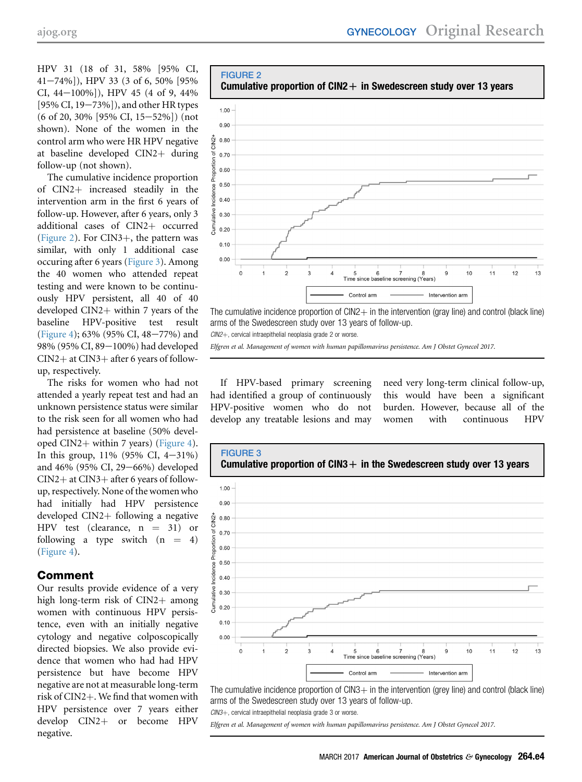HPV 31 (18 of 31, 58% [95% CI, 41e74%]), HPV 33 (3 of 6, 50% [95% CI,  $44-100\%$ ]), HPV 45 (4 of 9, 44%  $[95\%$  CI,  $19-73\%$ ]), and other HR types  $(6 \text{ of } 20, 30\%$  [95% CI, 15-52%]) (not shown). None of the women in the control arm who were HR HPV negative at baseline developed  $CIN2+$  during follow-up (not shown).

The cumulative incidence proportion of CIN2+ increased steadily in the intervention arm in the first 6 years of follow-up. However, after 6 years, only 3 additional cases of CIN2+ occurred (Figure 2). For  $CIN3+$ , the pattern was similar, with only 1 additional case occuring after 6 years (Figure 3). Among the 40 women who attended repeat testing and were known to be continuously HPV persistent, all 40 of 40 developed  $CIN2+$  within 7 years of the baseline HPV-positive test result [\(Figure 4\)](#page-4-0); 63% (95% CI, 48-77%) and 98% (95% CI, 89-100%) had developed  $CIN2+$  at  $CIN3+$  after 6 years of followup, respectively.

The risks for women who had not attended a yearly repeat test and had an unknown persistence status were similar to the risk seen for all women who had had persistence at baseline (50% devel-oped CIN2+ within 7 years) ([Figure 4](#page-4-0)). In this group,  $11\%$  (95% CI,  $4-31\%$ ) and 46% (95% CI, 29-66%) developed  $CIN2+$  at  $CIN3+$  after 6 years of followup, respectively. None of the women who had initially had HPV persistence developed  $CIN2+$  following a negative HPV test (clearance,  $n = 31$ ) or following a type switch  $(n = 4)$ [\(Figure 4](#page-4-0)).

## Comment

Our results provide evidence of a very high long-term risk of  $CIN2+$  among women with continuous HPV persistence, even with an initially negative cytology and negative colposcopically directed biopsies. We also provide evidence that women who had had HPV persistence but have become HPV negative are not at measurable long-term risk of CIN2+. We find that women with HPV persistence over 7 years either develop CIN2+ or become HPV negative.



The cumulative incidence proportion of  $CIN2$  in the intervention (gray line) and control (black line) arms of the Swedescreen study over 13 years of follow-up.

 $CIN2+$ , cervical intraepithelial neoplasia grade 2 or worse.

**FIGURE 2** 

Elfgren et al. Management of women with human papillomavirus persistence. Am J Obstet Gynecol 2017.

If HPV-based primary screening had identified a group of continuously HPV-positive women who do not develop any treatable lesions and may

need very long-term clinical follow-up, this would have been a significant burden. However, because all of the women with continuous HPV



The cumulative incidence proportion of  $CIN3$  in the intervention (grey line) and control (black line) arms of the Swedescreen study over 13 years of follow-up.

 $CIN3+$ , cervical intraepithelial neoplasia grade 3 or worse.

Elfgren et al. Management of women with human papillomavirus persistence. Am J Obstet Gynecol 2017.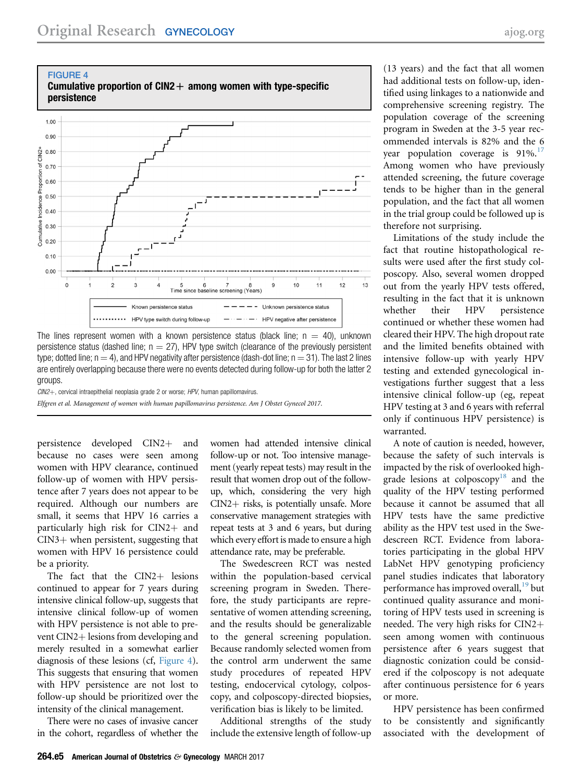<span id="page-4-0"></span>

The lines represent women with a known persistence status (black line;  $n = 40$ ), unknown persistence status (dashed line;  $n = 27$ ), HPV type switch (clearance of the previously persistent type; dotted line;  $n = 4$ ), and HPV negativity after persistence (dash-dot line;  $n = 31$ ). The last 2 lines are entirely overlapping because there were no events detected during follow-up for both the latter 2 groups.

 $CIN2+$ , cervical intraepithelial neoplasia grade 2 or worse; HPV, human papillomavirus. Elfgren et al. Management of women with human papillomavirus persistence. Am J Obstet Gynecol 2017.

persistence developed CIN2+ and because no cases were seen among women with HPV clearance, continued follow-up of women with HPV persistence after 7 years does not appear to be required. Although our numbers are small, it seems that HPV 16 carries a particularly high risk for  $CIN2+$  and  $CIN3+$  when persistent, suggesting that women with HPV 16 persistence could be a priority.

The fact that the  $CIN2+$  lesions continued to appear for 7 years during intensive clinical follow-up, suggests that intensive clinical follow-up of women with HPV persistence is not able to prevent  $CIN2+$  lesions from developing and merely resulted in a somewhat earlier diagnosis of these lesions (cf, Figure 4). This suggests that ensuring that women with HPV persistence are not lost to follow-up should be prioritized over the intensity of the clinical management.

There were no cases of invasive cancer in the cohort, regardless of whether the women had attended intensive clinical follow-up or not. Too intensive management (yearly repeat tests) may result in the result that women drop out of the followup, which, considering the very high  $CIN2+$  risks, is potentially unsafe. More conservative management strategies with repeat tests at 3 and 6 years, but during which every effort is made to ensure a high attendance rate, may be preferable.

The Swedescreen RCT was nested within the population-based cervical screening program in Sweden. Therefore, the study participants are representative of women attending screening, and the results should be generalizable to the general screening population. Because randomly selected women from the control arm underwent the same study procedures of repeated HPV testing, endocervical cytology, colposcopy, and colposcopy-directed biopsies, verification bias is likely to be limited.

Additional strengths of the study include the extensive length of follow-up

(13 years) and the fact that all women had additional tests on follow-up, identified using linkages to a nationwide and comprehensive screening registry. The population coverage of the screening program in Sweden at the 3-5 year recommended intervals is 82% and the 6 year population coverage is 91%.<sup>[17](#page-5-0)</sup> Among women who have previously attended screening, the future coverage tends to be higher than in the general population, and the fact that all women in the trial group could be followed up is therefore not surprising.

Limitations of the study include the fact that routine histopathological results were used after the first study colposcopy. Also, several women dropped out from the yearly HPV tests offered, resulting in the fact that it is unknown whether their HPV persistence continued or whether these women had cleared their HPV. The high dropout rate and the limited benefits obtained with intensive follow-up with yearly HPV testing and extended gynecological investigations further suggest that a less intensive clinical follow-up (eg, repeat HPV testing at 3 and 6 years with referral only if continuous HPV persistence) is warranted.

A note of caution is needed, however, because the safety of such intervals is impacted by the risk of overlooked high-grade lesions at colposcopy<sup>[18](#page-5-0)</sup> and the quality of the HPV testing performed because it cannot be assumed that all HPV tests have the same predictive ability as the HPV test used in the Swedescreen RCT. Evidence from laboratories participating in the global HPV LabNet HPV genotyping proficiency panel studies indicates that laboratory performance has improved overall, $^{19}$  $^{19}$  $^{19}$  but continued quality assurance and monitoring of HPV tests used in screening is needed. The very high risks for  $CIN2+$ seen among women with continuous persistence after 6 years suggest that diagnostic conization could be considered if the colposcopy is not adequate after continuous persistence for 6 years or more.

HPV persistence has been confirmed to be consistently and significantly associated with the development of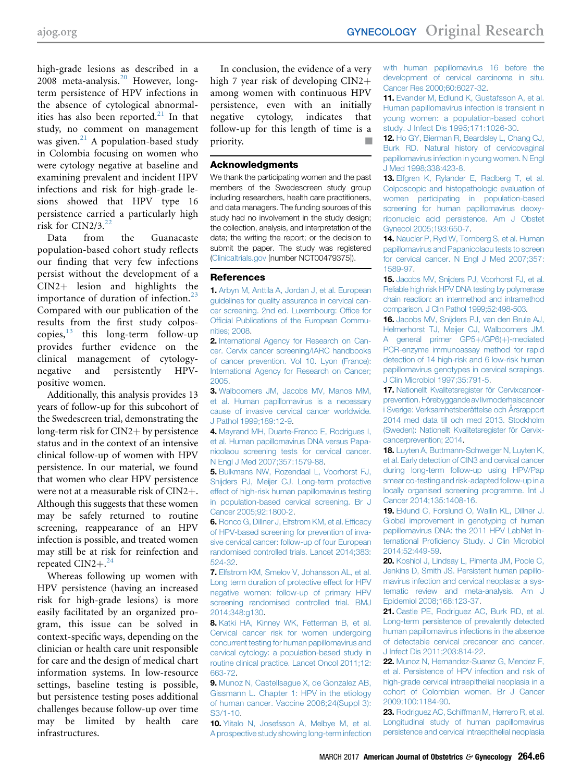<span id="page-5-0"></span>high-grade lesions as described in a 2008 meta-analysis.<sup>20</sup> However, longterm persistence of HPV infections in the absence of cytological abnormalities has also been reported. $21$  In that study, no comment on management was given.<sup>21</sup> A population-based study in Colombia focusing on women who were cytology negative at baseline and examining prevalent and incident HPV infections and risk for high-grade lesions showed that HPV type 16 persistence carried a particularly high risk for CIN2/3. $^{22}$ 

Data from the Guanacaste population-based cohort study reflects our finding that very few infections persist without the development of a  $CIN2+$  lesion and highlights the importance of duration of infection. $^{23}$ Compared with our publication of the results from the first study colposcopies, $13$  this long-term follow-up provides further evidence on the clinical management of cytologynegative and persistently HPVpositive women.

Additionally, this analysis provides 13 years of follow-up for this subcohort of the Swedescreen trial, demonstrating the long-term risk for  $CIN2 + by$  persistence status and in the context of an intensive clinical follow-up of women with HPV persistence. In our material, we found that women who clear HPV persistence were not at a measurable risk of  $CIN2+$ . Although this suggests that these women may be safely returned to routine screening, reappearance of an HPV infection is possible, and treated women may still be at risk for reinfection and repeated  $CIN2+<sup>24</sup>$  $CIN2+<sup>24</sup>$  $CIN2+<sup>24</sup>$ 

Whereas following up women with HPV persistence (having an increased risk for high-grade lesions) is more easily facilitated by an organized program, this issue can be solved in context-specific ways, depending on the clinician or health care unit responsible for care and the design of medical chart information systems. In low-resource settings, baseline testing is possible, but persistence testing poses additional challenges because follow-up over time may be limited by health care infrastructures.

In conclusion, the evidence of a very high 7 year risk of developing  $CIN2+$ among women with continuous HPV persistence, even with an initially negative cytology, indicates that follow-up for this length of time is a priority.

#### Acknowledgments

We thank the participating women and the past members of the Swedescreen study group including researchers, health care practitioners, and data managers. The funding sources of this study had no involvement in the study design; the collection, analysis, and interpretation of the data; the writing the report; or the decision to submit the paper. The study was registered [\(Clinicaltrials.gov](http://Clinicaltrials.gov) [number NCT00479375]).

#### References

1. [Arbyn M, Anttila A, Jordan J, et al. European](http://refhub.elsevier.com/S0002-9378(16)30978-4/sref1) [guidelines for quality assurance in cervical can](http://refhub.elsevier.com/S0002-9378(16)30978-4/sref1)[cer screening. 2nd ed. Luxembourg: Of](http://refhub.elsevier.com/S0002-9378(16)30978-4/sref1)fice for Offi[cial Publications of the European Commu](http://refhub.elsevier.com/S0002-9378(16)30978-4/sref1)[nities; 2008](http://refhub.elsevier.com/S0002-9378(16)30978-4/sref1).

2. [International Agency for Research on Can](http://refhub.elsevier.com/S0002-9378(16)30978-4/sref2)[cer. Cervix cancer screening/IARC handbooks](http://refhub.elsevier.com/S0002-9378(16)30978-4/sref2) [of cancer prevention. Vol 10. Lyon \(France\):](http://refhub.elsevier.com/S0002-9378(16)30978-4/sref2) [International Agency for Research on Cancer;](http://refhub.elsevier.com/S0002-9378(16)30978-4/sref2) [2005.](http://refhub.elsevier.com/S0002-9378(16)30978-4/sref2)

3. [Walboomers JM, Jacobs MV, Manos MM,](http://refhub.elsevier.com/S0002-9378(16)30978-4/sref3) [et al. Human papillomavirus is a necessary](http://refhub.elsevier.com/S0002-9378(16)30978-4/sref3) [cause of invasive cervical cancer worldwide.](http://refhub.elsevier.com/S0002-9378(16)30978-4/sref3) [J Pathol 1999;189:12-9.](http://refhub.elsevier.com/S0002-9378(16)30978-4/sref3)

4. [Mayrand MH, Duarte-Franco E, Rodrigues I,](http://refhub.elsevier.com/S0002-9378(16)30978-4/sref4) [et al. Human papillomavirus DNA versus Papa](http://refhub.elsevier.com/S0002-9378(16)30978-4/sref4)[nicolaou screening tests for cervical cancer.](http://refhub.elsevier.com/S0002-9378(16)30978-4/sref4) [N Engl J Med 2007;357:1579-88](http://refhub.elsevier.com/S0002-9378(16)30978-4/sref4).

5. [Bulkmans NW, Rozendaal L, Voorhorst FJ,](http://refhub.elsevier.com/S0002-9378(16)30978-4/sref5) [Snijders PJ, Meijer CJ. Long-term protective](http://refhub.elsevier.com/S0002-9378(16)30978-4/sref5) [effect of high-risk human papillomavirus testing](http://refhub.elsevier.com/S0002-9378(16)30978-4/sref5) [in population-based cervical screening. Br J](http://refhub.elsevier.com/S0002-9378(16)30978-4/sref5) [Cancer 2005;92:1800-2](http://refhub.elsevier.com/S0002-9378(16)30978-4/sref5).

6. [Ronco G, Dillner J, Elfstrom KM, et al. Ef](http://refhub.elsevier.com/S0002-9378(16)30978-4/sref6)ficacy [of HPV-based screening for prevention of inva](http://refhub.elsevier.com/S0002-9378(16)30978-4/sref6)[sive cervical cancer: follow-up of four European](http://refhub.elsevier.com/S0002-9378(16)30978-4/sref6) [randomised controlled trials. Lancet 2014;383:](http://refhub.elsevier.com/S0002-9378(16)30978-4/sref6) [524-32](http://refhub.elsevier.com/S0002-9378(16)30978-4/sref6).

7. [Elfstrom KM, Smelov V, Johansson AL, et al.](http://refhub.elsevier.com/S0002-9378(16)30978-4/sref7) [Long term duration of protective effect for HPV](http://refhub.elsevier.com/S0002-9378(16)30978-4/sref7) [negative women: follow-up of primary HPV](http://refhub.elsevier.com/S0002-9378(16)30978-4/sref7) [screening randomised controlled trial. BMJ](http://refhub.elsevier.com/S0002-9378(16)30978-4/sref7) [2014;348:g130.](http://refhub.elsevier.com/S0002-9378(16)30978-4/sref7)

8. [Katki HA, Kinney WK, Fetterman B, et al.](http://refhub.elsevier.com/S0002-9378(16)30978-4/sref8) [Cervical cancer risk for women undergoing](http://refhub.elsevier.com/S0002-9378(16)30978-4/sref8) [concurrent testing for human papillomavirus and](http://refhub.elsevier.com/S0002-9378(16)30978-4/sref8) [cervical cytology: a population-based study in](http://refhub.elsevier.com/S0002-9378(16)30978-4/sref8) [routine clinical practice. Lancet Oncol 2011;12:](http://refhub.elsevier.com/S0002-9378(16)30978-4/sref8) [663-72](http://refhub.elsevier.com/S0002-9378(16)30978-4/sref8).

9. [Munoz N, Castellsague X, de Gonzalez AB,](http://refhub.elsevier.com/S0002-9378(16)30978-4/sref9) [Gissmann L. Chapter 1: HPV in the etiology](http://refhub.elsevier.com/S0002-9378(16)30978-4/sref9) [of human cancer. Vaccine 2006;24\(Suppl 3\):](http://refhub.elsevier.com/S0002-9378(16)30978-4/sref9) [S3/1-10](http://refhub.elsevier.com/S0002-9378(16)30978-4/sref9).

10. [Ylitalo N, Josefsson A, Melbye M, et al.](http://refhub.elsevier.com/S0002-9378(16)30978-4/sref10) [A prospective study showing long-term infection](http://refhub.elsevier.com/S0002-9378(16)30978-4/sref10) [with human papillomavirus 16 before the](http://refhub.elsevier.com/S0002-9378(16)30978-4/sref10) [development of cervical carcinoma in situ.](http://refhub.elsevier.com/S0002-9378(16)30978-4/sref10) [Cancer Res 2000;60:6027-32](http://refhub.elsevier.com/S0002-9378(16)30978-4/sref10).

11. [Evander M, Edlund K, Gustafsson A, et al.](http://refhub.elsevier.com/S0002-9378(16)30978-4/sref11) [Human papillomavirus infection is transient in](http://refhub.elsevier.com/S0002-9378(16)30978-4/sref11) [young women: a population-based cohort](http://refhub.elsevier.com/S0002-9378(16)30978-4/sref11) [study. J Infect Dis 1995;171:1026-30.](http://refhub.elsevier.com/S0002-9378(16)30978-4/sref11)

12. [Ho GY, Bierman R, Beardsley L, Chang CJ,](http://refhub.elsevier.com/S0002-9378(16)30978-4/sref12) [Burk RD. Natural history of cervicovaginal](http://refhub.elsevier.com/S0002-9378(16)30978-4/sref12) [papillomavirus infection in young women. N Engl](http://refhub.elsevier.com/S0002-9378(16)30978-4/sref12) [J Med 1998;338:423-8](http://refhub.elsevier.com/S0002-9378(16)30978-4/sref12).

13. [Elfgren K, Rylander E, Radberg T, et al.](http://refhub.elsevier.com/S0002-9378(16)30978-4/sref13) [Colposcopic and histopathologic evaluation of](http://refhub.elsevier.com/S0002-9378(16)30978-4/sref13) [women participating in population-based](http://refhub.elsevier.com/S0002-9378(16)30978-4/sref13) [screening for human papillomavirus deoxy](http://refhub.elsevier.com/S0002-9378(16)30978-4/sref13)[ribonucleic acid persistence. Am J Obstet](http://refhub.elsevier.com/S0002-9378(16)30978-4/sref13) [Gynecol 2005;193:650-7.](http://refhub.elsevier.com/S0002-9378(16)30978-4/sref13)

14. [Naucler P, Ryd W, Tornberg S, et al. Human](http://refhub.elsevier.com/S0002-9378(16)30978-4/sref14) [papillomavirus and Papanicolaou tests to screen](http://refhub.elsevier.com/S0002-9378(16)30978-4/sref14) [for cervical cancer. N Engl J Med 2007;357:](http://refhub.elsevier.com/S0002-9378(16)30978-4/sref14) [1589-97.](http://refhub.elsevier.com/S0002-9378(16)30978-4/sref14)

15. [Jacobs MV, Snijders PJ, Voorhorst FJ, et al.](http://refhub.elsevier.com/S0002-9378(16)30978-4/sref15) [Reliable high risk HPV DNA](http://refhub.elsevier.com/S0002-9378(16)30978-4/sref15) testing by polymerase [chain reaction: an intermethod and intramethod](http://refhub.elsevier.com/S0002-9378(16)30978-4/sref15) [comparison. J Clin Pathol 1999;52:498-503.](http://refhub.elsevier.com/S0002-9378(16)30978-4/sref15)

16. [Jacobs MV, Snijders PJ, van den Brule AJ,](http://refhub.elsevier.com/S0002-9378(16)30978-4/sref16) [Helmerhorst TJ, Meijer CJ, Walboomers JM.](http://refhub.elsevier.com/S0002-9378(16)30978-4/sref16) [A general primer GP5](http://refhub.elsevier.com/S0002-9378(16)30978-4/sref16)+[/GP6\(](http://refhub.elsevier.com/S0002-9378(16)30978-4/sref16)+[\)-mediated](http://refhub.elsevier.com/S0002-9378(16)30978-4/sref16) [PCR-enzyme immunoassay method for rapid](http://refhub.elsevier.com/S0002-9378(16)30978-4/sref16) [detection of 14 high-risk and 6 low-risk human](http://refhub.elsevier.com/S0002-9378(16)30978-4/sref16) [papillomavirus genotypes in cervical scrapings.](http://refhub.elsevier.com/S0002-9378(16)30978-4/sref16) [J Clin Microbiol 1997;35:791-5](http://refhub.elsevier.com/S0002-9378(16)30978-4/sref16).

17. [Nationellt Kvalitetsregister för Cervixcancer](http://refhub.elsevier.com/S0002-9378(16)30978-4/sref17)[prevention. Förebyggande av livmoderhalscancer](http://refhub.elsevier.com/S0002-9378(16)30978-4/sref17) [i Sverige: Verksamhetsberättelse och Årsrapport](http://refhub.elsevier.com/S0002-9378(16)30978-4/sref17) [2014 med data till och med 2013. Stockholm](http://refhub.elsevier.com/S0002-9378(16)30978-4/sref17) [\(Sweden\): Nationellt Kvalitetsregister för Cervix](http://refhub.elsevier.com/S0002-9378(16)30978-4/sref17)[cancerprevention; 2014.](http://refhub.elsevier.com/S0002-9378(16)30978-4/sref17)

18. [Luyten A, Buttmann-Schweiger N, Luyten K,](http://refhub.elsevier.com/S0002-9378(16)30978-4/sref18) [et al. Early detection of CIN3 and cervical cancer](http://refhub.elsevier.com/S0002-9378(16)30978-4/sref18) [during long-term follow-up using HPV/Pap](http://refhub.elsevier.com/S0002-9378(16)30978-4/sref18) [smear co-testing and risk-adapted follow-up in a](http://refhub.elsevier.com/S0002-9378(16)30978-4/sref18) [locally organised screening programme. Int J](http://refhub.elsevier.com/S0002-9378(16)30978-4/sref18) [Cancer 2014;135:1408-16](http://refhub.elsevier.com/S0002-9378(16)30978-4/sref18).

19. [Eklund C, Forslund O, Wallin KL, Dillner J.](http://refhub.elsevier.com/S0002-9378(16)30978-4/sref19) [Global improvement in genotyping of human](http://refhub.elsevier.com/S0002-9378(16)30978-4/sref19) [papillomavirus DNA: the 2011 HPV LabNet In](http://refhub.elsevier.com/S0002-9378(16)30978-4/sref19)ternational Profi[ciency Study. J Clin Microbiol](http://refhub.elsevier.com/S0002-9378(16)30978-4/sref19) [2014;52:449-59](http://refhub.elsevier.com/S0002-9378(16)30978-4/sref19).

20. [Koshiol J, Lindsay L, Pimenta JM, Poole C,](http://refhub.elsevier.com/S0002-9378(16)30978-4/sref20) [Jenkins D, Smith JS. Persistent human papillo](http://refhub.elsevier.com/S0002-9378(16)30978-4/sref20)[mavirus infection and cervical neoplasia: a sys](http://refhub.elsevier.com/S0002-9378(16)30978-4/sref20)[tematic review and meta-analysis. Am J](http://refhub.elsevier.com/S0002-9378(16)30978-4/sref20) [Epidemiol 2008;168:123-37.](http://refhub.elsevier.com/S0002-9378(16)30978-4/sref20)

21. [Castle PE, Rodriguez AC, Burk RD, et al.](http://refhub.elsevier.com/S0002-9378(16)30978-4/sref21) [Long-term persistence of prevalently detected](http://refhub.elsevier.com/S0002-9378(16)30978-4/sref21) [human papillomavirus infections in the absence](http://refhub.elsevier.com/S0002-9378(16)30978-4/sref21) [of detectable cervical precancer and cancer.](http://refhub.elsevier.com/S0002-9378(16)30978-4/sref21) [J Infect Dis 2011;203:814-22.](http://refhub.elsevier.com/S0002-9378(16)30978-4/sref21)

22. [Munoz N, Hernandez-Suarez G, Mendez F,](http://refhub.elsevier.com/S0002-9378(16)30978-4/sref22) [et al. Persistence of HPV infection and risk of](http://refhub.elsevier.com/S0002-9378(16)30978-4/sref22) [high-grade cervical intraepithelial neoplasia in a](http://refhub.elsevier.com/S0002-9378(16)30978-4/sref22) [cohort of Colombian women. Br J Cancer](http://refhub.elsevier.com/S0002-9378(16)30978-4/sref22) [2009;100:1184-90.](http://refhub.elsevier.com/S0002-9378(16)30978-4/sref22)

23. [Rodriguez AC, Schiffman M, Herrero R, et al.](http://refhub.elsevier.com/S0002-9378(16)30978-4/sref23) [Longitudinal study of human papillomavirus](http://refhub.elsevier.com/S0002-9378(16)30978-4/sref23) [persistence and cervical intraepithelial neoplasia](http://refhub.elsevier.com/S0002-9378(16)30978-4/sref23)